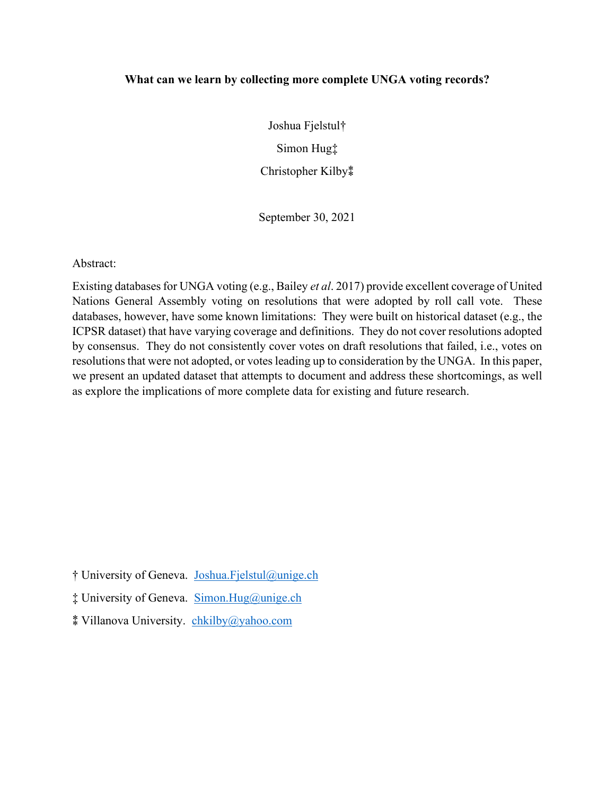## **What can we learn by collecting more complete UNGA voting records?**

Joshua Fjelstul† Simon Hug‡ Christopher Kilby $*$ 

September 30, 2021

Abstract:

Existing databases for UNGA voting (e.g., Bailey *et al*. 2017) provide excellent coverage of United Nations General Assembly voting on resolutions that were adopted by roll call vote. These databases, however, have some known limitations: They were built on historical dataset (e.g., the ICPSR dataset) that have varying coverage and definitions. They do not cover resolutions adopted by consensus. They do not consistently cover votes on draft resolutions that failed, i.e., votes on resolutions that were not adopted, or votes leading up to consideration by the UNGA. In this paper, we present an updated dataset that attempts to document and address these shortcomings, as well as explore the implications of more complete data for existing and future research.

† University of Geneva. [Joshua.Fjelstul@unige.ch](mailto:Joshua.Fjelstul@unige.ch)

‡ University of Geneva. [Simon.Hug@unige.ch](mailto:Simon.Hug@unige.ch)

⁑ Villanova University. [chkilby@yahoo.com](mailto:chkilby@yahoo.com)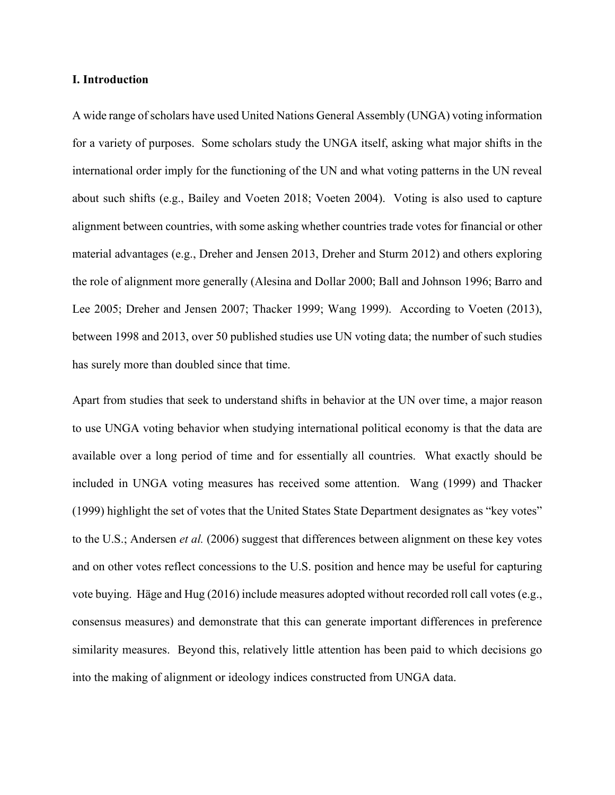#### **I. Introduction**

A wide range of scholars have used United Nations General Assembly (UNGA) voting information for a variety of purposes. Some scholars study the UNGA itself, asking what major shifts in the international order imply for the functioning of the UN and what voting patterns in the UN reveal about such shifts (e.g., Bailey and Voeten 2018; Voeten 2004). Voting is also used to capture alignment between countries, with some asking whether countries trade votes for financial or other material advantages (e.g., Dreher and Jensen 2013, Dreher and Sturm 2012) and others exploring the role of alignment more generally (Alesina and Dollar 2000; Ball and Johnson 1996; Barro and Lee 2005; Dreher and Jensen 2007; Thacker 1999; Wang 1999). According to Voeten (2013), between 1998 and 2013, over 50 published studies use UN voting data; the number of such studies has surely more than doubled since that time.

Apart from studies that seek to understand shifts in behavior at the UN over time, a major reason to use UNGA voting behavior when studying international political economy is that the data are available over a long period of time and for essentially all countries. What exactly should be included in UNGA voting measures has received some attention. Wang (1999) and Thacker (1999) highlight the set of votes that the United States State Department designates as "key votes" to the U.S.; Andersen *et al.* (2006) suggest that differences between alignment on these key votes and on other votes reflect concessions to the U.S. position and hence may be useful for capturing vote buying. Häge and Hug (2016) include measures adopted without recorded roll call votes (e.g., consensus measures) and demonstrate that this can generate important differences in preference similarity measures. Beyond this, relatively little attention has been paid to which decisions go into the making of alignment or ideology indices constructed from UNGA data.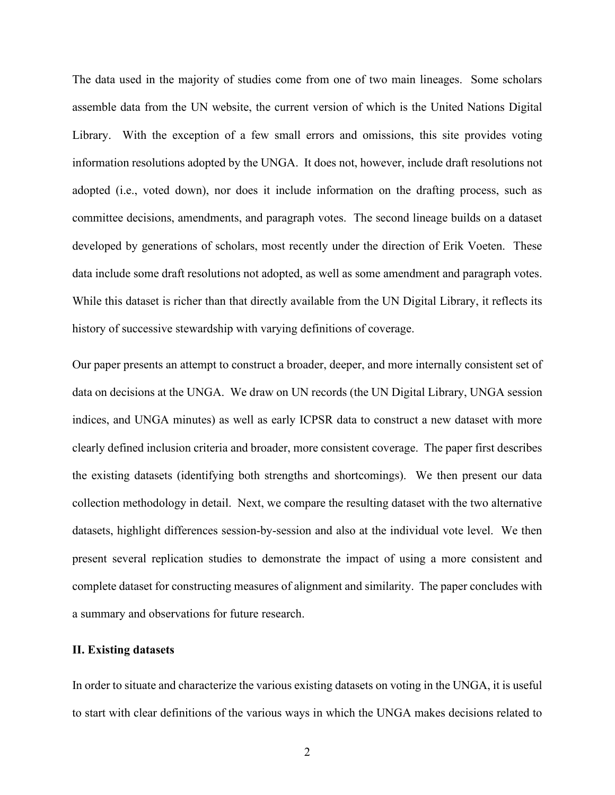The data used in the majority of studies come from one of two main lineages. Some scholars assemble data from the UN website, the current version of which is the United Nations Digital Library. With the exception of a few small errors and omissions, this site provides voting information resolutions adopted by the UNGA. It does not, however, include draft resolutions not adopted (i.e., voted down), nor does it include information on the drafting process, such as committee decisions, amendments, and paragraph votes. The second lineage builds on a dataset developed by generations of scholars, most recently under the direction of Erik Voeten. These data include some draft resolutions not adopted, as well as some amendment and paragraph votes. While this dataset is richer than that directly available from the UN Digital Library, it reflects its history of successive stewardship with varying definitions of coverage.

Our paper presents an attempt to construct a broader, deeper, and more internally consistent set of data on decisions at the UNGA. We draw on UN records (the UN Digital Library, UNGA session indices, and UNGA minutes) as well as early ICPSR data to construct a new dataset with more clearly defined inclusion criteria and broader, more consistent coverage. The paper first describes the existing datasets (identifying both strengths and shortcomings). We then present our data collection methodology in detail. Next, we compare the resulting dataset with the two alternative datasets, highlight differences session-by-session and also at the individual vote level. We then present several replication studies to demonstrate the impact of using a more consistent and complete dataset for constructing measures of alignment and similarity. The paper concludes with a summary and observations for future research.

#### **II. Existing datasets**

In order to situate and characterize the various existing datasets on voting in the UNGA, it is useful to start with clear definitions of the various ways in which the UNGA makes decisions related to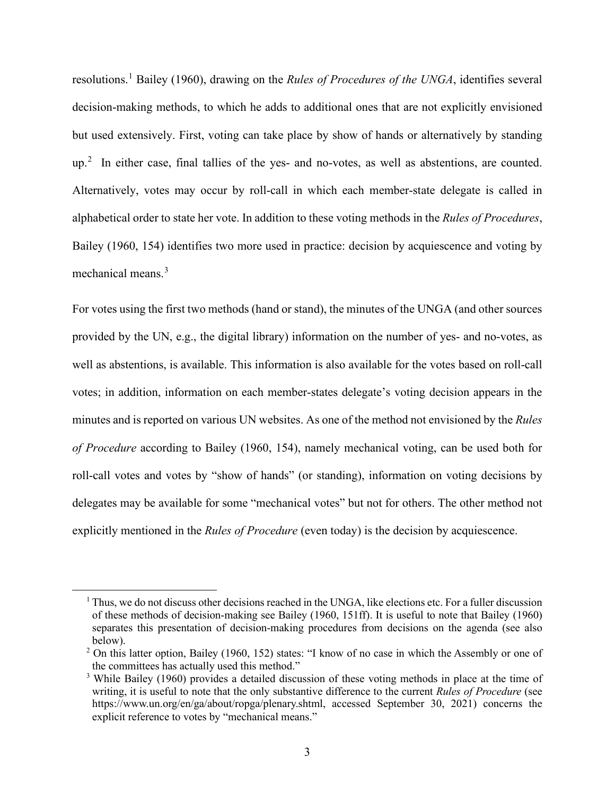resolutions.[1](#page-3-0) Bailey (1960), drawing on the *Rules of Procedures of the UNGA*, identifies several decision-making methods, to which he adds to additional ones that are not explicitly envisioned but used extensively. First, voting can take place by show of hands or alternatively by standing  $up.^2$  $up.^2$  In either case, final tallies of the yes- and no-votes, as well as abstentions, are counted. Alternatively, votes may occur by roll-call in which each member-state delegate is called in alphabetical order to state her vote. In addition to these voting methods in the *Rules of Procedures*, Bailey (1960, 154) identifies two more used in practice: decision by acquiescence and voting by mechanical means.<sup>[3](#page-3-2)</sup>

For votes using the first two methods (hand or stand), the minutes of the UNGA (and other sources provided by the UN, e.g., the digital library) information on the number of yes- and no-votes, as well as abstentions, is available. This information is also available for the votes based on roll-call votes; in addition, information on each member-states delegate's voting decision appears in the minutes and is reported on various UN websites. As one of the method not envisioned by the *Rules of Procedure* according to Bailey (1960, 154), namely mechanical voting, can be used both for roll-call votes and votes by "show of hands" (or standing), information on voting decisions by delegates may be available for some "mechanical votes" but not for others. The other method not explicitly mentioned in the *Rules of Procedure* (even today) is the decision by acquiescence.

<span id="page-3-0"></span> $1$  Thus, we do not discuss other decisions reached in the UNGA, like elections etc. For a fuller discussion of these methods of decision-making see Bailey (1960, 151ff). It is useful to note that Bailey (1960) separates this presentation of decision-making procedures from decisions on the agenda (see also below).

<span id="page-3-1"></span> $2$  On this latter option, Bailey (1960, 152) states: "I know of no case in which the Assembly or one of the committees has actually used this method."

<span id="page-3-2"></span><sup>&</sup>lt;sup>3</sup> While Bailey (1960) provides a detailed discussion of these voting methods in place at the time of writing, it is useful to note that the only substantive difference to the current *Rules of Procedure* (see https://www.un.org/en/ga/about/ropga/plenary.shtml, accessed September 30, 2021) concerns the explicit reference to votes by "mechanical means."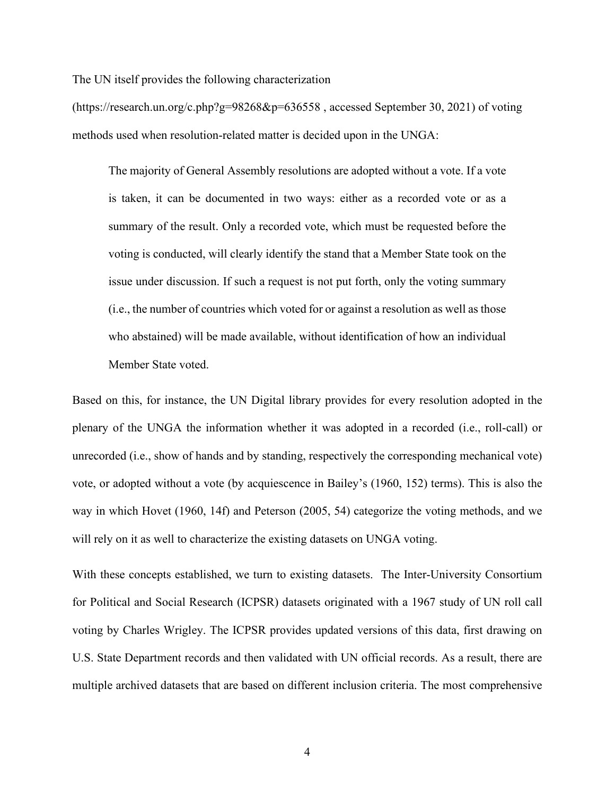The UN itself provides the following characterization

(https://research.un.org/c.php?g=98268&p=636558 , accessed September 30, 2021) of voting methods used when resolution-related matter is decided upon in the UNGA:

The majority of General Assembly resolutions are adopted without a vote. If a vote is taken, it can be documented in two ways: either as a recorded vote or as a summary of the result. Only a recorded vote, which must be requested before the voting is conducted, will clearly identify the stand that a Member State took on the issue under discussion. If such a request is not put forth, only the voting summary (i.e., the number of countries which voted for or against a resolution as well as those who abstained) will be made available, without identification of how an individual Member State voted.

Based on this, for instance, the UN Digital library provides for every resolution adopted in the plenary of the UNGA the information whether it was adopted in a recorded (i.e., roll-call) or unrecorded (i.e., show of hands and by standing, respectively the corresponding mechanical vote) vote, or adopted without a vote (by acquiescence in Bailey's (1960, 152) terms). This is also the way in which Hovet (1960, 14f) and Peterson (2005, 54) categorize the voting methods, and we will rely on it as well to characterize the existing datasets on UNGA voting.

With these concepts established, we turn to existing datasets. The Inter-University Consortium for Political and Social Research (ICPSR) datasets originated with a 1967 study of UN roll call voting by Charles Wrigley. The ICPSR provides updated versions of this data, first drawing on U.S. State Department records and then validated with UN official records. As a result, there are multiple archived datasets that are based on different inclusion criteria. The most comprehensive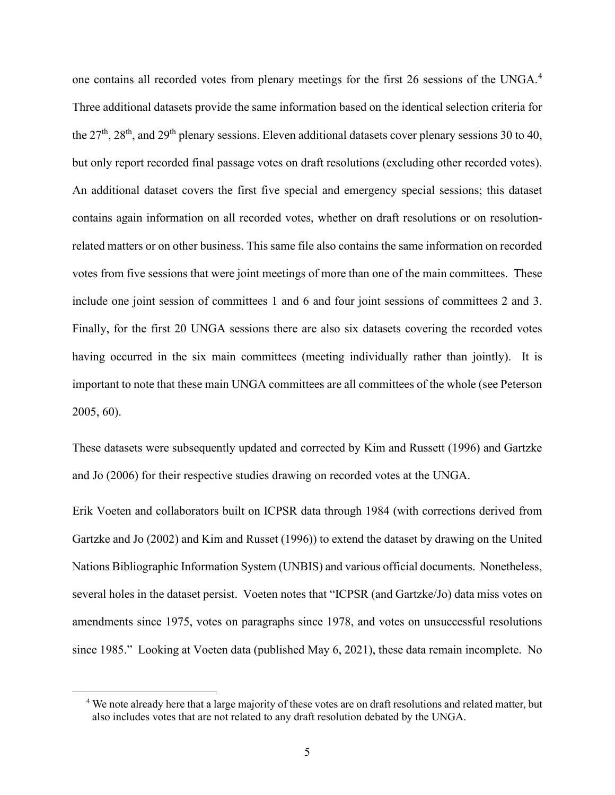one contains all recorded votes from plenary meetings for the first 26 sessions of the UNGA.[4](#page-5-0) Three additional datasets provide the same information based on the identical selection criteria for the  $27<sup>th</sup>$ ,  $28<sup>th</sup>$ , and  $29<sup>th</sup>$  plenary sessions. Eleven additional datasets cover plenary sessions 30 to 40, but only report recorded final passage votes on draft resolutions (excluding other recorded votes). An additional dataset covers the first five special and emergency special sessions; this dataset contains again information on all recorded votes, whether on draft resolutions or on resolutionrelated matters or on other business. This same file also contains the same information on recorded votes from five sessions that were joint meetings of more than one of the main committees. These include one joint session of committees 1 and 6 and four joint sessions of committees 2 and 3. Finally, for the first 20 UNGA sessions there are also six datasets covering the recorded votes having occurred in the six main committees (meeting individually rather than jointly). It is important to note that these main UNGA committees are all committees of the whole (see Peterson 2005, 60).

These datasets were subsequently updated and corrected by Kim and Russett (1996) and Gartzke and Jo (2006) for their respective studies drawing on recorded votes at the UNGA.

Erik Voeten and collaborators built on ICPSR data through 1984 (with corrections derived from Gartzke and Jo (2002) and Kim and Russet (1996)) to extend the dataset by drawing on the United Nations Bibliographic Information System (UNBIS) and various official documents. Nonetheless, several holes in the dataset persist. Voeten notes that "ICPSR (and Gartzke/Jo) data miss votes on amendments since 1975, votes on paragraphs since 1978, and votes on unsuccessful resolutions since 1985." Looking at Voeten data (published May 6, 2021), these data remain incomplete. No

<span id="page-5-0"></span><sup>4</sup> We note already here that a large majority of these votes are on draft resolutions and related matter, but also includes votes that are not related to any draft resolution debated by the UNGA.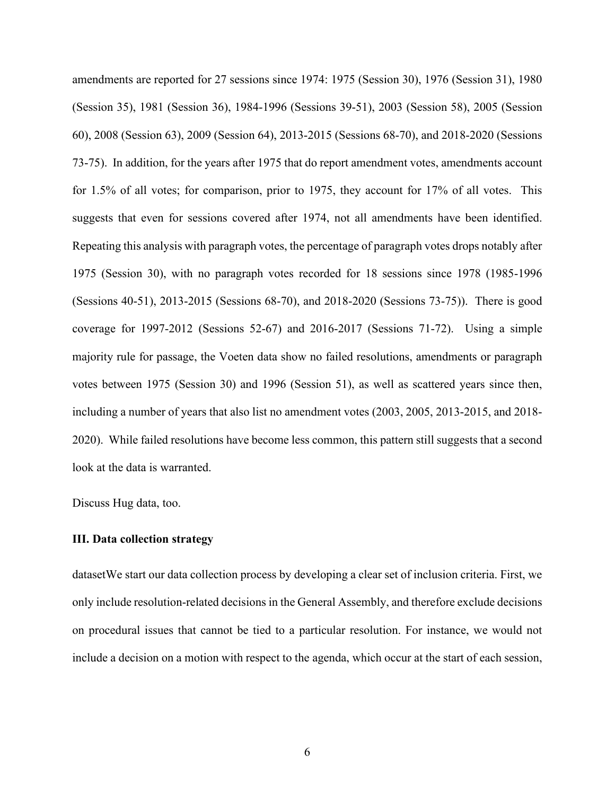amendments are reported for 27 sessions since 1974: 1975 (Session 30), 1976 (Session 31), 1980 (Session 35), 1981 (Session 36), 1984-1996 (Sessions 39-51), 2003 (Session 58), 2005 (Session 60), 2008 (Session 63), 2009 (Session 64), 2013-2015 (Sessions 68-70), and 2018-2020 (Sessions 73-75). In addition, for the years after 1975 that do report amendment votes, amendments account for 1.5% of all votes; for comparison, prior to 1975, they account for 17% of all votes. This suggests that even for sessions covered after 1974, not all amendments have been identified. Repeating this analysis with paragraph votes, the percentage of paragraph votes drops notably after 1975 (Session 30), with no paragraph votes recorded for 18 sessions since 1978 (1985-1996 (Sessions 40-51), 2013-2015 (Sessions 68-70), and 2018-2020 (Sessions 73-75)). There is good coverage for 1997-2012 (Sessions 52-67) and 2016-2017 (Sessions 71-72). Using a simple majority rule for passage, the Voeten data show no failed resolutions, amendments or paragraph votes between 1975 (Session 30) and 1996 (Session 51), as well as scattered years since then, including a number of years that also list no amendment votes (2003, 2005, 2013-2015, and 2018- 2020). While failed resolutions have become less common, this pattern still suggests that a second look at the data is warranted.

Discuss Hug data, too.

#### **III. Data collection strategy**

datasetWe start our data collection process by developing a clear set of inclusion criteria. First, we only include resolution-related decisions in the General Assembly, and therefore exclude decisions on procedural issues that cannot be tied to a particular resolution. For instance, we would not include a decision on a motion with respect to the agenda, which occur at the start of each session,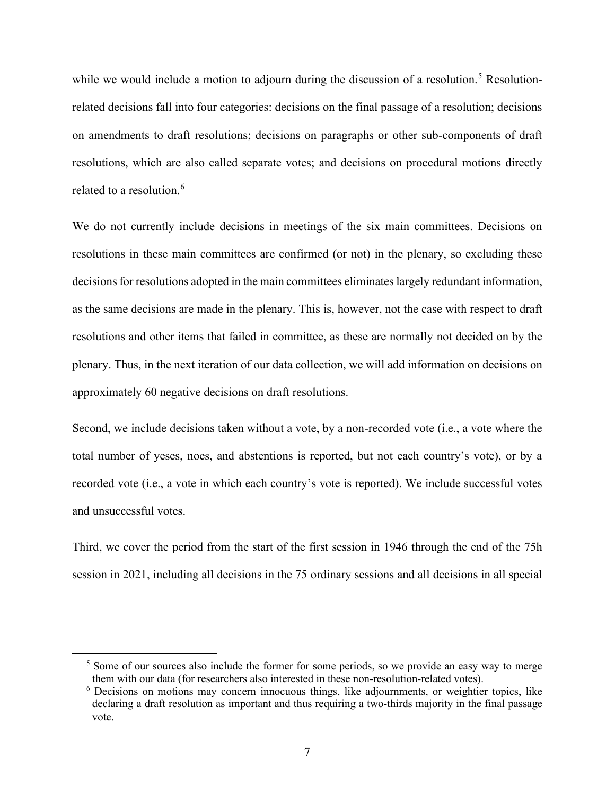while we would include a motion to adjourn during the discussion of a resolution.<sup>[5](#page-7-0)</sup> Resolutionrelated decisions fall into four categories: decisions on the final passage of a resolution; decisions on amendments to draft resolutions; decisions on paragraphs or other sub-components of draft resolutions, which are also called separate votes; and decisions on procedural motions directly related to a resolution. [6](#page-7-1)

We do not currently include decisions in meetings of the six main committees. Decisions on resolutions in these main committees are confirmed (or not) in the plenary, so excluding these decisions for resolutions adopted in the main committees eliminates largely redundant information, as the same decisions are made in the plenary. This is, however, not the case with respect to draft resolutions and other items that failed in committee, as these are normally not decided on by the plenary. Thus, in the next iteration of our data collection, we will add information on decisions on approximately 60 negative decisions on draft resolutions.

Second, we include decisions taken without a vote, by a non-recorded vote (i.e., a vote where the total number of yeses, noes, and abstentions is reported, but not each country's vote), or by a recorded vote (i.e., a vote in which each country's vote is reported). We include successful votes and unsuccessful votes.

Third, we cover the period from the start of the first session in 1946 through the end of the 75h session in 2021, including all decisions in the 75 ordinary sessions and all decisions in all special

<span id="page-7-0"></span><sup>&</sup>lt;sup>5</sup> Some of our sources also include the former for some periods, so we provide an easy way to merge them with our data (for researchers also interested in these non-resolution-related votes).

<span id="page-7-1"></span><sup>&</sup>lt;sup>6</sup> Decisions on motions may concern innocuous things, like adjournments, or weightier topics, like declaring a draft resolution as important and thus requiring a two-thirds majority in the final passage vote.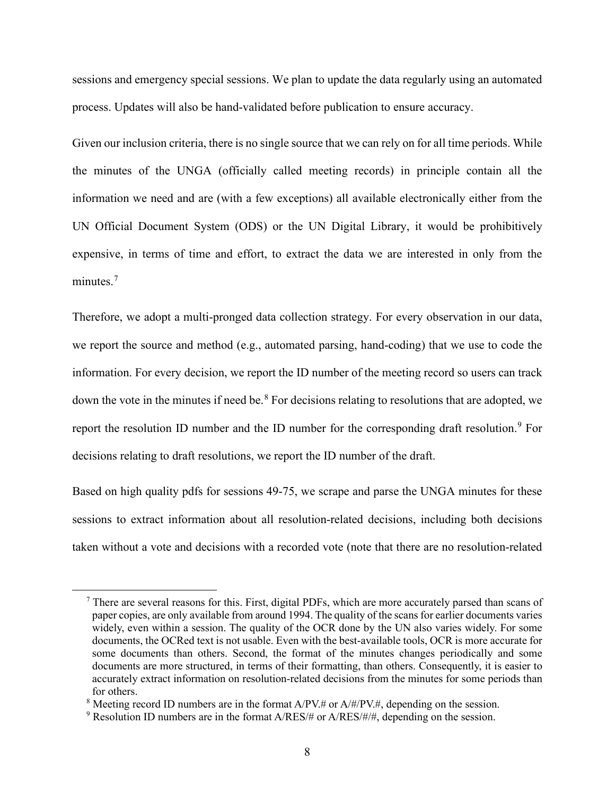sessions and emergency special sessions. We plan to update the data regularly using an automated process. Updates will also be hand-validated before publication to ensure accuracy.

Given our inclusion criteria, there is no single source that we can rely on for all time periods. While the minutes of the UNGA (officially called meeting records) in principle contain all the information we need and are (with a few exceptions) all available electronically either from the UN Official Document System (ODS) or the UN Digital Library, it would be prohibitively expensive, in terms of time and effort, to extract the data we are interested in only from the minutes.<sup>[7](#page-8-0)</sup>

Therefore, we adopt a multi-pronged data collection strategy. For every observation in our data, we report the source and method (e.g., automated parsing, hand-coding) that we use to code the information. For every decision, we report the ID number of the meeting record so users can track down the vote in the minutes if need be.<sup>[8](#page-8-1)</sup> For decisions relating to resolutions that are adopted, we report the resolution ID number and the ID number for the corresponding draft resolution.<sup>[9](#page-8-2)</sup> For decisions relating to draft resolutions, we report the ID number of the draft.

Based on high quality pdfs for sessions 49-75, we scrape and parse the UNGA minutes for these sessions to extract information about all resolution-related decisions, including both decisions taken without a vote and decisions with a recorded vote (note that there are no resolution-related

<span id="page-8-0"></span><sup>7</sup> There are several reasons for this. First, digital PDFs, which are more accurately parsed than scans of paper copies, are only available from around 1994. The quality of the scans for earlier documents varies widely, even within a session. The quality of the OCR done by the UN also varies widely. For some documents, the OCRed text is not usable. Even with the best-available tools, OCR is more accurate for some documents than others. Second, the format of the minutes changes periodically and some documents are more structured, in terms of their formatting, than others. Consequently, it is easier to accurately extract information on resolution-related decisions from the minutes for some periods than for others.

<span id="page-8-1"></span><sup>&</sup>lt;sup>8</sup> Meeting record ID numbers are in the format  $A/PV.$ # or  $A/\#PV.$ #, depending on the session.

<span id="page-8-2"></span><sup>&</sup>lt;sup>9</sup> Resolution ID numbers are in the format  $A/RES/H$  or  $A/RES/H/H$ , depending on the session.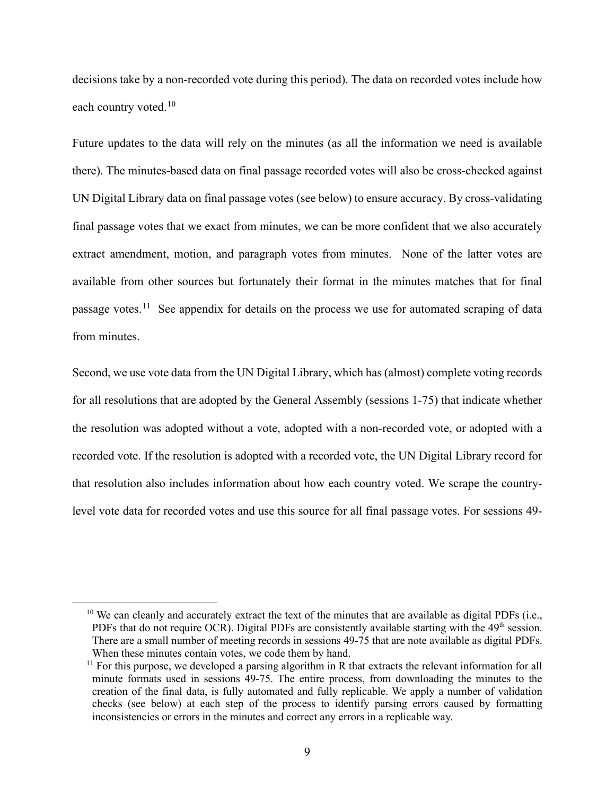decisions take by a non-recorded vote during this period). The data on recorded votes include how each country voted.<sup>[10](#page-9-0)</sup>

Future updates to the data will rely on the minutes (as all the information we need is available there). The minutes-based data on final passage recorded votes will also be cross-checked against UN Digital Library data on final passage votes (see below) to ensure accuracy. By cross-validating final passage votes that we exact from minutes, we can be more confident that we also accurately extract amendment, motion, and paragraph votes from minutes. None of the latter votes are available from other sources but fortunately their format in the minutes matches that for final passage votes.<sup>[11](#page-9-1)</sup> See appendix for details on the process we use for automated scraping of data from minutes.

Second, we use vote data from the UN Digital Library, which has (almost) complete voting records for all resolutions that are adopted by the General Assembly (sessions 1-75) that indicate whether the resolution was adopted without a vote, adopted with a non-recorded vote, or adopted with a recorded vote. If the resolution is adopted with a recorded vote, the UN Digital Library record for that resolution also includes information about how each country voted. We scrape the countrylevel vote data for recorded votes and use this source for all final passage votes. For sessions 49-

<span id="page-9-0"></span> $10$  We can cleanly and accurately extract the text of the minutes that are available as digital PDFs (i.e., PDFs that do not require OCR). Digital PDFs are consistently available starting with the 49<sup>th</sup> session. There are a small number of meeting records in sessions 49-75 that are note available as digital PDFs. When these minutes contain votes, we code them by hand.

<span id="page-9-1"></span> $11$  For this purpose, we developed a parsing algorithm in R that extracts the relevant information for all minute formats used in sessions 49-75. The entire process, from downloading the minutes to the creation of the final data, is fully automated and fully replicable. We apply a number of validation checks (see below) at each step of the process to identify parsing errors caused by formatting inconsistencies or errors in the minutes and correct any errors in a replicable way.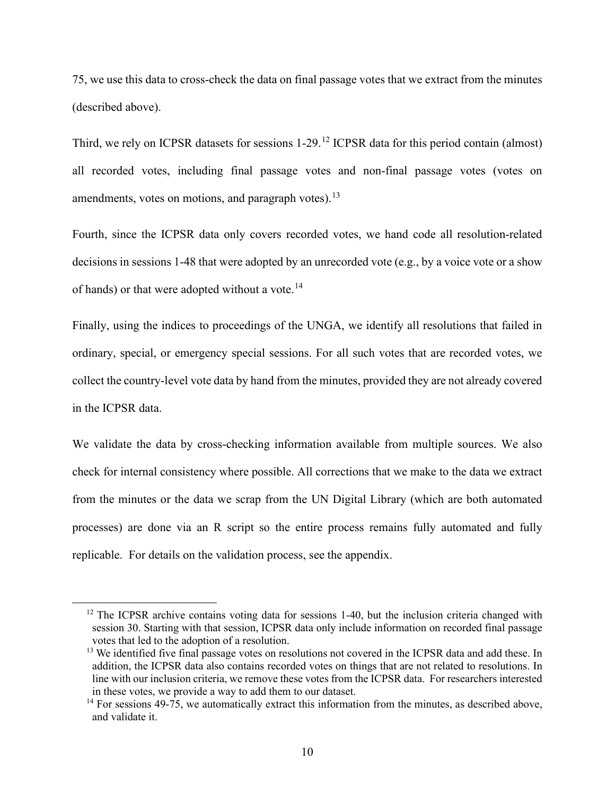75, we use this data to cross-check the data on final passage votes that we extract from the minutes (described above).

Third, we rely on ICPSR datasets for sessions 1-29.[12](#page-10-0) ICPSR data for this period contain (almost) all recorded votes, including final passage votes and non-final passage votes (votes on amendments, votes on motions, and paragraph votes).<sup>[13](#page-10-1)</sup>

Fourth, since the ICPSR data only covers recorded votes, we hand code all resolution-related decisions in sessions 1-48 that were adopted by an unrecorded vote (e.g., by a voice vote or a show of hands) or that were adopted without a vote.<sup>[14](#page-10-2)</sup>

Finally, using the indices to proceedings of the UNGA, we identify all resolutions that failed in ordinary, special, or emergency special sessions. For all such votes that are recorded votes, we collect the country-level vote data by hand from the minutes, provided they are not already covered in the ICPSR data.

We validate the data by cross-checking information available from multiple sources. We also check for internal consistency where possible. All corrections that we make to the data we extract from the minutes or the data we scrap from the UN Digital Library (which are both automated processes) are done via an R script so the entire process remains fully automated and fully replicable. For details on the validation process, see the appendix.

<span id="page-10-0"></span> $12$  The ICPSR archive contains voting data for sessions 1-40, but the inclusion criteria changed with session 30. Starting with that session, ICPSR data only include information on recorded final passage votes that led to the adoption of a resolution.

<span id="page-10-1"></span><sup>&</sup>lt;sup>13</sup> We identified five final passage votes on resolutions not covered in the ICPSR data and add these. In addition, the ICPSR data also contains recorded votes on things that are not related to resolutions. In line with our inclusion criteria, we remove these votes from the ICPSR data. For researchers interested in these votes, we provide a way to add them to our dataset.

<span id="page-10-2"></span> $14$  For sessions 49-75, we automatically extract this information from the minutes, as described above, and validate it.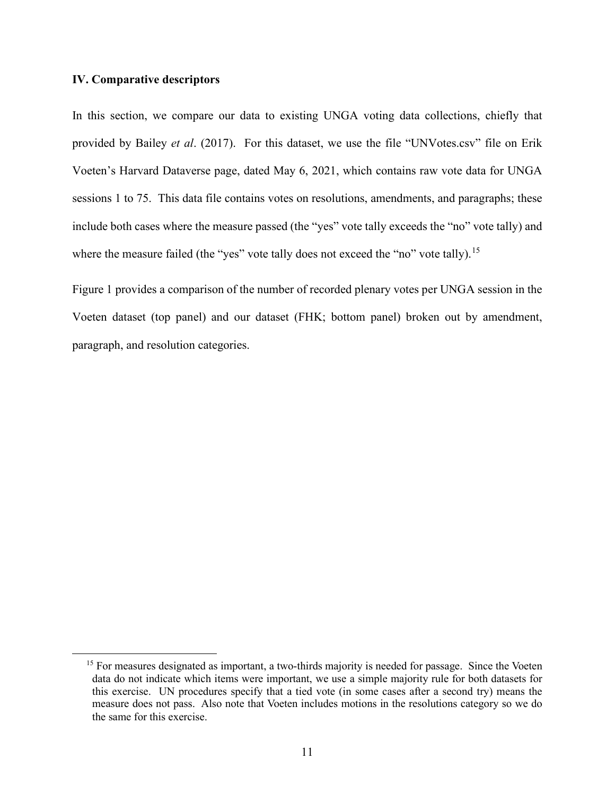#### **IV. Comparative descriptors**

In this section, we compare our data to existing UNGA voting data collections, chiefly that provided by Bailey *et al*. (2017). For this dataset, we use the file "UNVotes.csv" file on Erik Voeten's Harvard Dataverse page, dated May 6, 2021, which contains raw vote data for UNGA sessions 1 to 75. This data file contains votes on resolutions, amendments, and paragraphs; these include both cases where the measure passed (the "yes" vote tally exceeds the "no" vote tally) and where the measure failed (the "yes" vote tally does not exceed the "no" vote tally).<sup>[15](#page-11-0)</sup>

Figure 1 provides a comparison of the number of recorded plenary votes per UNGA session in the Voeten dataset (top panel) and our dataset (FHK; bottom panel) broken out by amendment, paragraph, and resolution categories.

<span id="page-11-0"></span><sup>&</sup>lt;sup>15</sup> For measures designated as important, a two-thirds majority is needed for passage. Since the Voeten data do not indicate which items were important, we use a simple majority rule for both datasets for this exercise. UN procedures specify that a tied vote (in some cases after a second try) means the measure does not pass. Also note that Voeten includes motions in the resolutions category so we do the same for this exercise.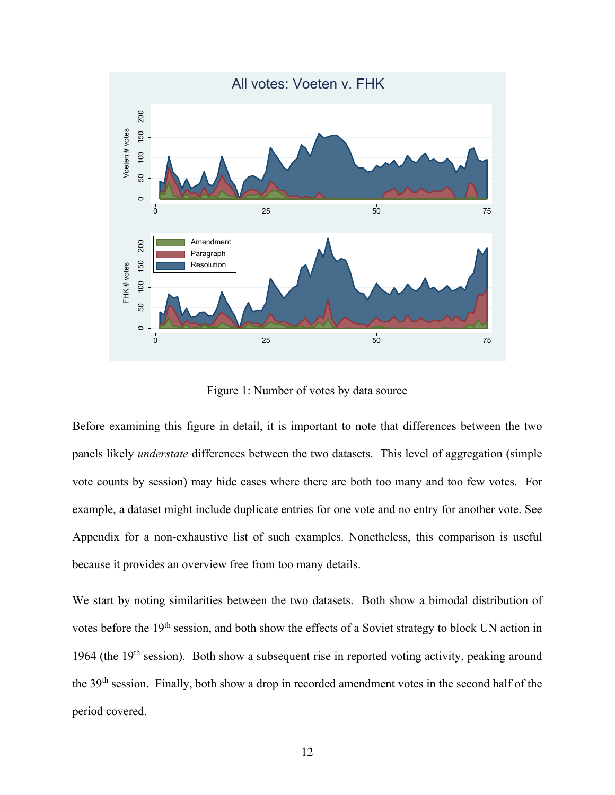

Figure 1: Number of votes by data source

Before examining this figure in detail, it is important to note that differences between the two panels likely *understate* differences between the two datasets. This level of aggregation (simple vote counts by session) may hide cases where there are both too many and too few votes. For example, a dataset might include duplicate entries for one vote and no entry for another vote. See Appendix for a non-exhaustive list of such examples. Nonetheless, this comparison is useful because it provides an overview free from too many details.

We start by noting similarities between the two datasets. Both show a bimodal distribution of votes before the 19<sup>th</sup> session, and both show the effects of a Soviet strategy to block UN action in 1964 (the  $19<sup>th</sup>$  session). Both show a subsequent rise in reported voting activity, peaking around the 39th session. Finally, both show a drop in recorded amendment votes in the second half of the period covered.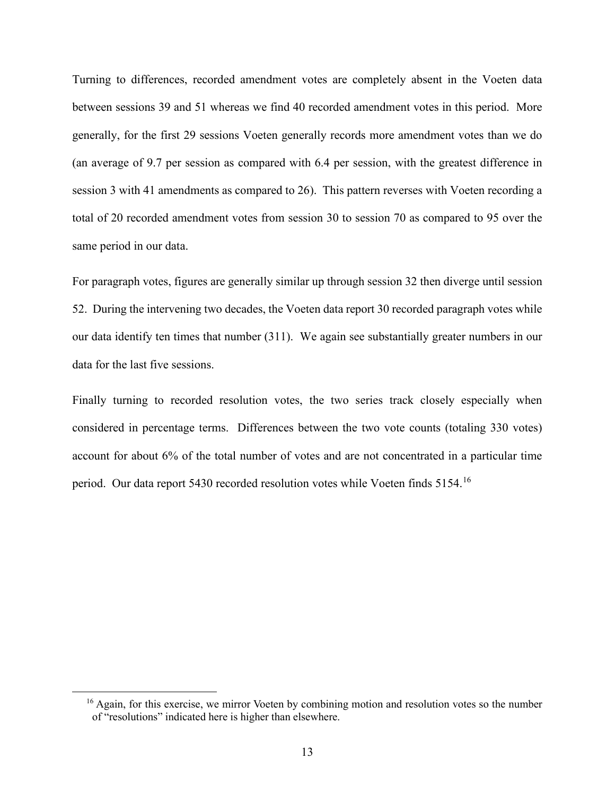Turning to differences, recorded amendment votes are completely absent in the Voeten data between sessions 39 and 51 whereas we find 40 recorded amendment votes in this period. More generally, for the first 29 sessions Voeten generally records more amendment votes than we do (an average of 9.7 per session as compared with 6.4 per session, with the greatest difference in session 3 with 41 amendments as compared to 26). This pattern reverses with Voeten recording a total of 20 recorded amendment votes from session 30 to session 70 as compared to 95 over the same period in our data.

For paragraph votes, figures are generally similar up through session 32 then diverge until session 52. During the intervening two decades, the Voeten data report 30 recorded paragraph votes while our data identify ten times that number (311). We again see substantially greater numbers in our data for the last five sessions.

Finally turning to recorded resolution votes, the two series track closely especially when considered in percentage terms. Differences between the two vote counts (totaling 330 votes) account for about 6% of the total number of votes and are not concentrated in a particular time period. Our data report 5430 recorded resolution votes while Voeten finds 5154.<sup>[16](#page-13-0)</sup>

<span id="page-13-0"></span><sup>&</sup>lt;sup>16</sup> Again, for this exercise, we mirror Voeten by combining motion and resolution votes so the number of "resolutions" indicated here is higher than elsewhere.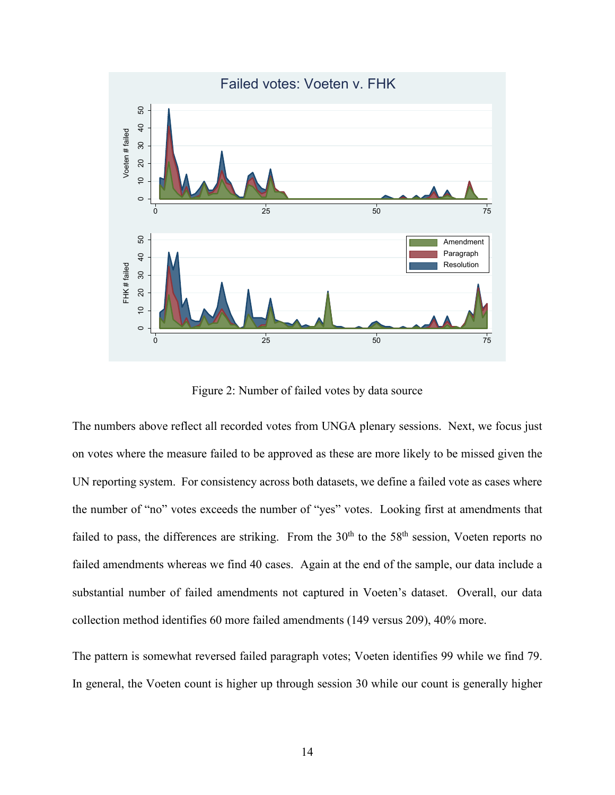

Figure 2: Number of failed votes by data source

The numbers above reflect all recorded votes from UNGA plenary sessions. Next, we focus just on votes where the measure failed to be approved as these are more likely to be missed given the UN reporting system. For consistency across both datasets, we define a failed vote as cases where the number of "no" votes exceeds the number of "yes" votes. Looking first at amendments that failed to pass, the differences are striking. From the 30<sup>th</sup> to the 58<sup>th</sup> session, Voeten reports no failed amendments whereas we find 40 cases. Again at the end of the sample, our data include a substantial number of failed amendments not captured in Voeten's dataset. Overall, our data collection method identifies 60 more failed amendments (149 versus 209), 40% more.

The pattern is somewhat reversed failed paragraph votes; Voeten identifies 99 while we find 79. In general, the Voeten count is higher up through session 30 while our count is generally higher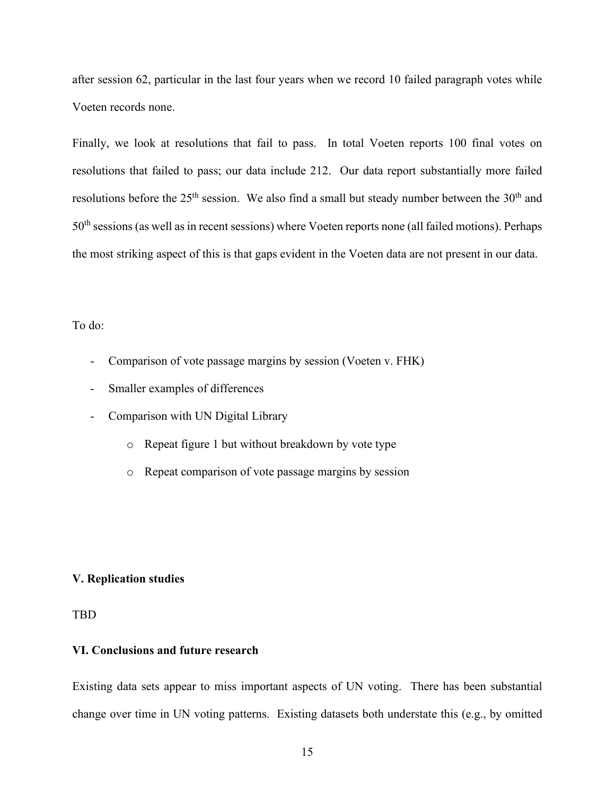after session 62, particular in the last four years when we record 10 failed paragraph votes while Voeten records none.

Finally, we look at resolutions that fail to pass. In total Voeten reports 100 final votes on resolutions that failed to pass; our data include 212. Our data report substantially more failed resolutions before the  $25<sup>th</sup>$  session. We also find a small but steady number between the  $30<sup>th</sup>$  and 50<sup>th</sup> sessions (as well as in recent sessions) where Voeten reports none (all failed motions). Perhaps the most striking aspect of this is that gaps evident in the Voeten data are not present in our data.

## To do:

- Comparison of vote passage margins by session (Voeten v. FHK)
- Smaller examples of differences
- Comparison with UN Digital Library
	- o Repeat figure 1 but without breakdown by vote type
	- o Repeat comparison of vote passage margins by session

## **V. Replication studies**

## TBD

## **VI. Conclusions and future research**

Existing data sets appear to miss important aspects of UN voting. There has been substantial change over time in UN voting patterns. Existing datasets both understate this (e.g., by omitted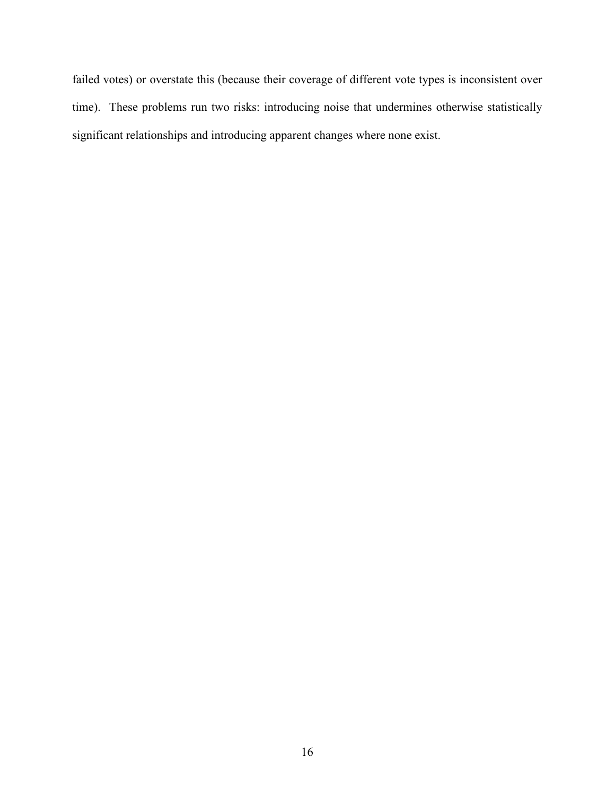failed votes) or overstate this (because their coverage of different vote types is inconsistent over time). These problems run two risks: introducing noise that undermines otherwise statistically significant relationships and introducing apparent changes where none exist.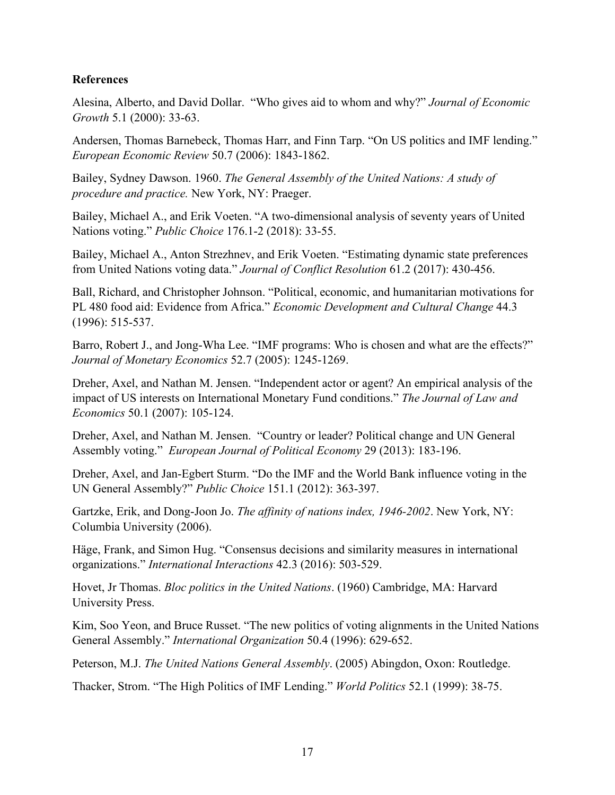## **References**

Alesina, Alberto, and David Dollar. "Who gives aid to whom and why?" *Journal of Economic Growth* 5.1 (2000): 33-63.

Andersen, Thomas Barnebeck, Thomas Harr, and Finn Tarp. "On US politics and IMF lending." *European Economic Review* 50.7 (2006): 1843-1862.

Bailey, Sydney Dawson. 1960. *The General Assembly of the United Nations: A study of procedure and practice.* New York, NY: Praeger.

Bailey, Michael A., and Erik Voeten. "A two-dimensional analysis of seventy years of United Nations voting." *Public Choice* 176.1-2 (2018): 33-55.

Bailey, Michael A., Anton Strezhnev, and Erik Voeten. "Estimating dynamic state preferences from United Nations voting data." *Journal of Conflict Resolution* 61.2 (2017): 430-456.

Ball, Richard, and Christopher Johnson. "Political, economic, and humanitarian motivations for PL 480 food aid: Evidence from Africa." *Economic Development and Cultural Change* 44.3 (1996): 515-537.

Barro, Robert J., and Jong-Wha Lee. "IMF programs: Who is chosen and what are the effects?" *Journal of Monetary Economics* 52.7 (2005): 1245-1269.

Dreher, Axel, and Nathan M. Jensen. "Independent actor or agent? An empirical analysis of the impact of US interests on International Monetary Fund conditions." *The Journal of Law and Economics* 50.1 (2007): 105-124.

Dreher, Axel, and Nathan M. Jensen. "Country or leader? Political change and UN General Assembly voting." *European Journal of Political Economy* 29 (2013): 183-196.

Dreher, Axel, and Jan-Egbert Sturm. "Do the IMF and the World Bank influence voting in the UN General Assembly?" *Public Choice* 151.1 (2012): 363-397.

Gartzke, Erik, and Dong-Joon Jo. *The affinity of nations index, 1946-2002*. New York, NY: Columbia University (2006).

Häge, Frank, and Simon Hug. "Consensus decisions and similarity measures in international organizations." *International Interactions* 42.3 (2016): 503-529.

Hovet, Jr Thomas. *Bloc politics in the United Nations*. (1960) Cambridge, MA: Harvard University Press.

Kim, Soo Yeon, and Bruce Russet. "The new politics of voting alignments in the United Nations General Assembly." *International Organization* 50.4 (1996): 629-652.

Peterson, M.J. *The United Nations General Assembly*. (2005) Abingdon, Oxon: Routledge.

Thacker, Strom. "The High Politics of IMF Lending." *World Politics* 52.1 (1999): 38-75.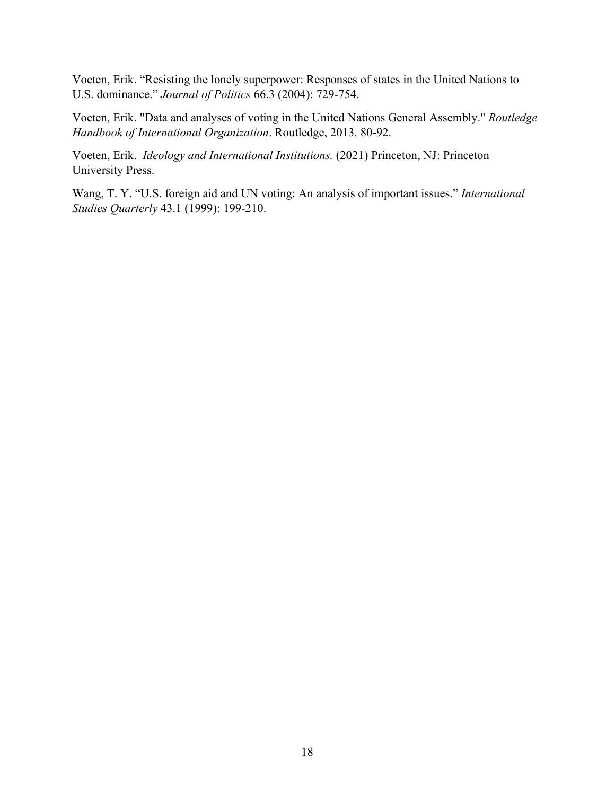Voeten, Erik. "Resisting the lonely superpower: Responses of states in the United Nations to U.S. dominance." *Journal of Politics* 66.3 (2004): 729-754.

Voeten, Erik. "Data and analyses of voting in the United Nations General Assembly." *Routledge Handbook of International Organization*. Routledge, 2013. 80-92.

Voeten, Erik. *Ideology and International Institutions.* (2021) Princeton, NJ: Princeton University Press.

Wang, T. Y. "U.S. foreign aid and UN voting: An analysis of important issues." *International Studies Quarterly* 43.1 (1999): 199-210.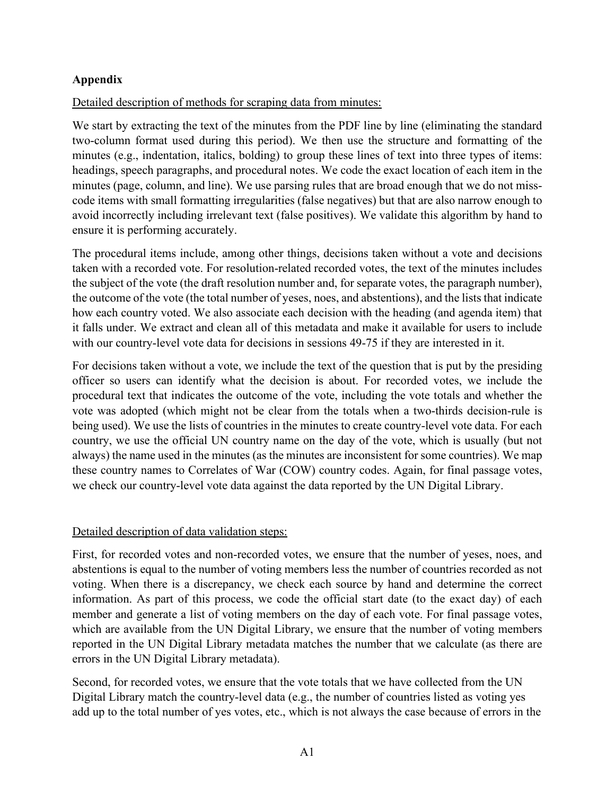# **Appendix**

# Detailed description of methods for scraping data from minutes:

We start by extracting the text of the minutes from the PDF line by line (eliminating the standard two-column format used during this period). We then use the structure and formatting of the minutes (e.g., indentation, italics, bolding) to group these lines of text into three types of items: headings, speech paragraphs, and procedural notes. We code the exact location of each item in the minutes (page, column, and line). We use parsing rules that are broad enough that we do not misscode items with small formatting irregularities (false negatives) but that are also narrow enough to avoid incorrectly including irrelevant text (false positives). We validate this algorithm by hand to ensure it is performing accurately.

The procedural items include, among other things, decisions taken without a vote and decisions taken with a recorded vote. For resolution-related recorded votes, the text of the minutes includes the subject of the vote (the draft resolution number and, for separate votes, the paragraph number), the outcome of the vote (the total number of yeses, noes, and abstentions), and the lists that indicate how each country voted. We also associate each decision with the heading (and agenda item) that it falls under. We extract and clean all of this metadata and make it available for users to include with our country-level vote data for decisions in sessions 49-75 if they are interested in it.

For decisions taken without a vote, we include the text of the question that is put by the presiding officer so users can identify what the decision is about. For recorded votes, we include the procedural text that indicates the outcome of the vote, including the vote totals and whether the vote was adopted (which might not be clear from the totals when a two-thirds decision-rule is being used). We use the lists of countries in the minutes to create country-level vote data. For each country, we use the official UN country name on the day of the vote, which is usually (but not always) the name used in the minutes (as the minutes are inconsistent for some countries). We map these country names to Correlates of War (COW) country codes. Again, for final passage votes, we check our country-level vote data against the data reported by the UN Digital Library.

## Detailed description of data validation steps:

First, for recorded votes and non-recorded votes, we ensure that the number of yeses, noes, and abstentions is equal to the number of voting members less the number of countries recorded as not voting. When there is a discrepancy, we check each source by hand and determine the correct information. As part of this process, we code the official start date (to the exact day) of each member and generate a list of voting members on the day of each vote. For final passage votes, which are available from the UN Digital Library, we ensure that the number of voting members reported in the UN Digital Library metadata matches the number that we calculate (as there are errors in the UN Digital Library metadata).

Second, for recorded votes, we ensure that the vote totals that we have collected from the UN Digital Library match the country-level data (e.g., the number of countries listed as voting yes add up to the total number of yes votes, etc., which is not always the case because of errors in the